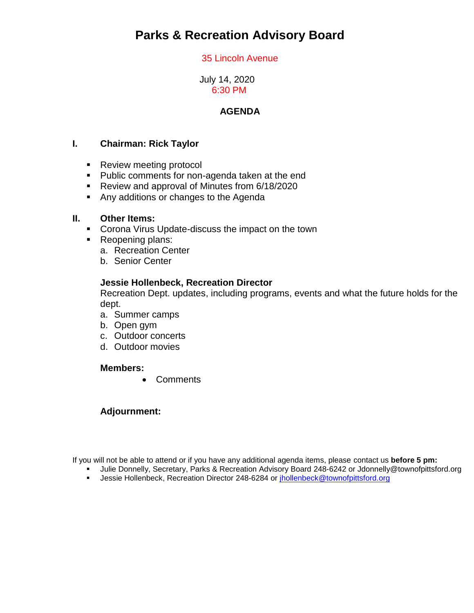# **Parks & Recreation Advisory Board**

## 35 Lincoln Avenue

 July 14, 2020 6:30 PM

## **AGENDA**

### **I. Chairman: Rick Taylor**

- Review meeting protocol
- **Public comments for non-agenda taken at the end**
- **Review and approval of Minutes from 6/18/2020**
- **Any additions or changes to the Agenda**

#### **II. Other Items:**

- **Corona Virus Update-discuss the impact on the town**
- Reopening plans:
	- a. Recreation Center
	- b. Senior Center

## **Jessie Hollenbeck, Recreation Director**

Recreation Dept. updates, including programs, events and what the future holds for the dept.

- a. Summer camps
- b. Open gym
- c. Outdoor concerts
- d. Outdoor movies

#### **Members:**

Comments

#### **Adjournment:**

If you will not be able to attend or if you have any additional agenda items, please contact us **before 5 pm:** 

- Julie Donnelly, Secretary, Parks & Recreation Advisory Board 248-6242 or Jdonnelly@townofpittsford.org<br>Lessie Hollenbeck, Recreation Director 248-6284 or ihollenbeck@townofpittsford.org
- Jessie Hollenbeck, Recreation Director 248-6284 or [jhollenbeck@townofpittsford.org](mailto:jhollenbeck@townofpittsford.org)